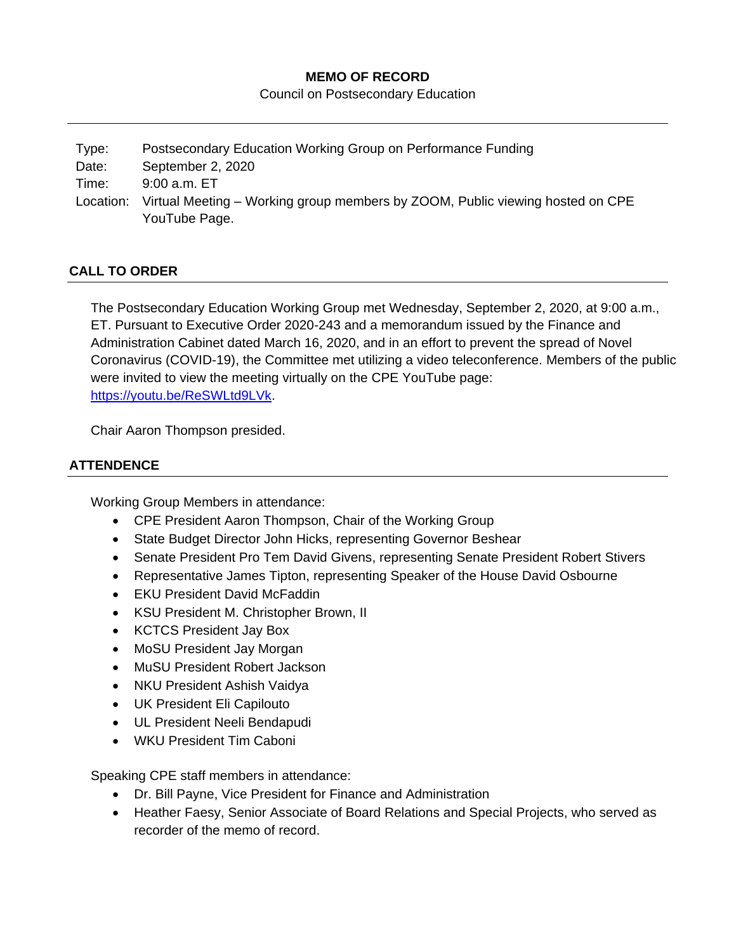## **MEMO OF RECORD**

Council on Postsecondary Education

| Type:     | Postsecondary Education Working Group on Performance Funding                                   |
|-----------|------------------------------------------------------------------------------------------------|
| Date:     | September 2, 2020                                                                              |
| Time:     | $9:00$ a.m. $ET$                                                                               |
| Location: | Virtual Meeting – Working group members by ZOOM, Public viewing hosted on CPE<br>YouTube Page. |
|           |                                                                                                |

# **CALL TO ORDER**

The Postsecondary Education Working Group met Wednesday, September 2, 2020, at 9:00 a.m., ET. Pursuant to Executive Order 2020-243 and a memorandum issued by the Finance and Administration Cabinet dated March 16, 2020, and in an effort to prevent the spread of Novel Coronavirus (COVID-19), the Committee met utilizing a video teleconference. Members of the public were invited to view the meeting virtually on the CPE YouTube page: [https://youtu.be/ReSWLtd9LVk.](https://youtu.be/ReSWLtd9LVk)

Chair Aaron Thompson presided.

# **ATTENDENCE**

Working Group Members in attendance:

- CPE President Aaron Thompson, Chair of the Working Group
- State Budget Director John Hicks, representing Governor Beshear
- Senate President Pro Tem David Givens, representing Senate President Robert Stivers
- Representative James Tipton, representing Speaker of the House David Osbourne
- EKU President David McFaddin
- KSU President M. Christopher Brown, II
- KCTCS President Jay Box
- MoSU President Jay Morgan
- MuSU President Robert Jackson
- NKU President Ashish Vaidya
- UK President Eli Capilouto
- UL President Neeli Bendapudi
- WKU President Tim Caboni

Speaking CPE staff members in attendance:

- Dr. Bill Payne, Vice President for Finance and Administration
- Heather Faesy, Senior Associate of Board Relations and Special Projects, who served as recorder of the memo of record.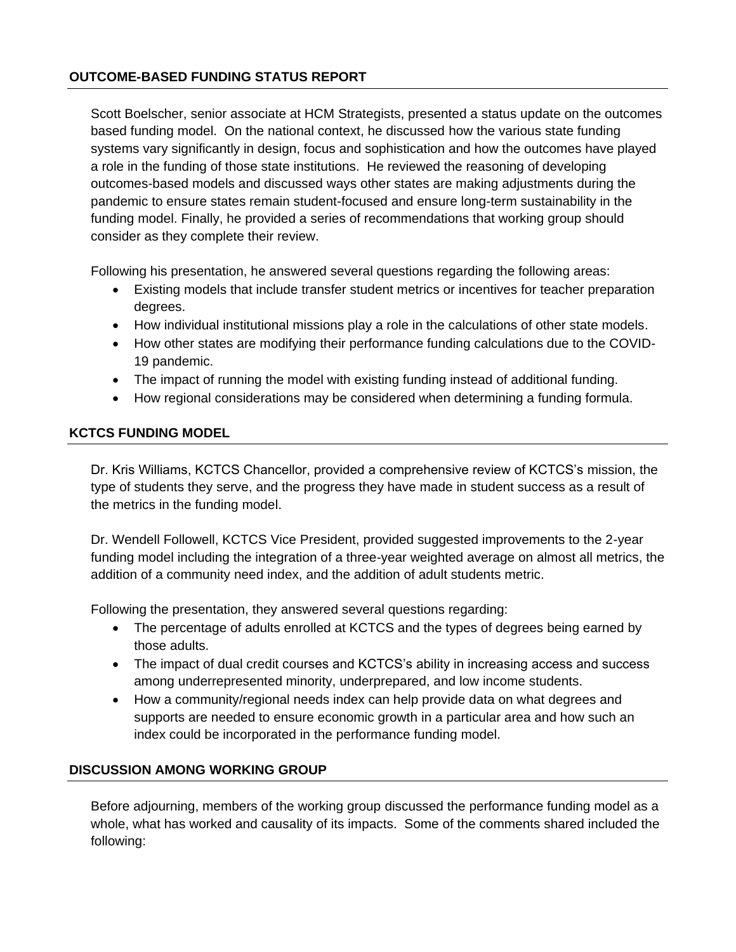### **OUTCOME-BASED FUNDING STATUS REPORT**

Scott Boelscher, senior associate at HCM Strategists, presented a status update on the outcomes based funding model. On the national context, he discussed how the various state funding systems vary significantly in design, focus and sophistication and how the outcomes have played a role in the funding of those state institutions. He reviewed the reasoning of developing outcomes-based models and discussed ways other states are making adjustments during the pandemic to ensure states remain student-focused and ensure long-term sustainability in the funding model. Finally, he provided a series of recommendations that working group should consider as they complete their review.

Following his presentation, he answered several questions regarding the following areas:

- Existing models that include transfer student metrics or incentives for teacher preparation degrees.
- How individual institutional missions play a role in the calculations of other state models.
- How other states are modifying their performance funding calculations due to the COVID-19 pandemic.
- The impact of running the model with existing funding instead of additional funding.
- How regional considerations may be considered when determining a funding formula.

### **KCTCS FUNDING MODEL**

Dr. Kris Williams, KCTCS Chancellor, provided a comprehensive review of KCTCS's mission, the type of students they serve, and the progress they have made in student success as a result of the metrics in the funding model.

Dr. Wendell Followell, KCTCS Vice President, provided suggested improvements to the 2-year funding model including the integration of a three-year weighted average on almost all metrics, the addition of a community need index, and the addition of adult students metric.

Following the presentation, they answered several questions regarding:

- The percentage of adults enrolled at KCTCS and the types of degrees being earned by those adults.
- The impact of dual credit courses and KCTCS's ability in increasing access and success among underrepresented minority, underprepared, and low income students.
- How a community/regional needs index can help provide data on what degrees and supports are needed to ensure economic growth in a particular area and how such an index could be incorporated in the performance funding model.

### **DISCUSSION AMONG WORKING GROUP**

Before adjourning, members of the working group discussed the performance funding model as a whole, what has worked and causality of its impacts. Some of the comments shared included the following: